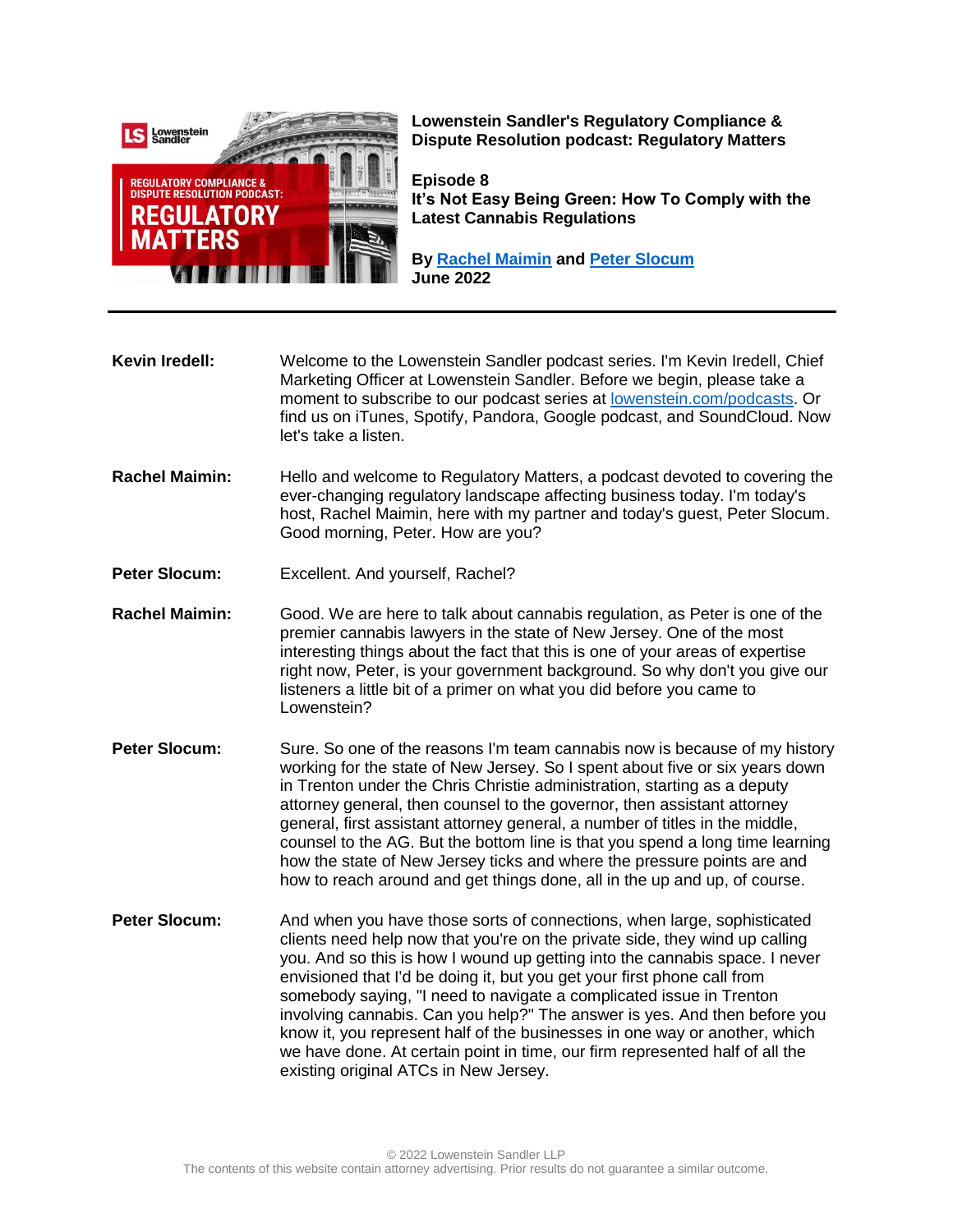

**Lowenstein Sandler's Regulatory Compliance & Dispute Resolution podcast: Regulatory Matters**

**Episode 8 It's Not Easy Being Green: How To Comply with the Latest Cannabis Regulations**

**By [Rachel Maimin](https://www.lowenstein.com/people/attorneys/rachel-maimin) and [Peter Slocum](https://www.lowenstein.com/people/attorneys/peter-slocum) June 2022**

**Kevin Iredell:** Welcome to the Lowenstein Sandler podcast series. I'm Kevin Iredell, Chief Marketing Officer at Lowenstein Sandler. Before we begin, please take a moment to subscribe to our podcast series at [lowenstein.com/podcasts.](https://www.lowenstein.com/podcasts) Or find us on iTunes, Spotify, Pandora, Google podcast, and SoundCloud. Now let's take a listen.

- **Rachel Maimin:** Hello and welcome to Regulatory Matters, a podcast devoted to covering the ever-changing regulatory landscape affecting business today. I'm today's host, Rachel Maimin, here with my partner and today's guest, Peter Slocum. Good morning, Peter. How are you?
- **Peter Slocum:** Excellent. And yourself, Rachel?
- **Rachel Maimin:** Good. We are here to talk about cannabis regulation, as Peter is one of the premier cannabis lawyers in the state of New Jersey. One of the most interesting things about the fact that this is one of your areas of expertise right now, Peter, is your government background. So why don't you give our listeners a little bit of a primer on what you did before you came to Lowenstein?
- **Peter Slocum:** Sure. So one of the reasons I'm team cannabis now is because of my history working for the state of New Jersey. So I spent about five or six years down in Trenton under the Chris Christie administration, starting as a deputy attorney general, then counsel to the governor, then assistant attorney general, first assistant attorney general, a number of titles in the middle, counsel to the AG. But the bottom line is that you spend a long time learning how the state of New Jersey ticks and where the pressure points are and how to reach around and get things done, all in the up and up, of course.
- **Peter Slocum:** And when you have those sorts of connections, when large, sophisticated clients need help now that you're on the private side, they wind up calling you. And so this is how I wound up getting into the cannabis space. I never envisioned that I'd be doing it, but you get your first phone call from somebody saying, "I need to navigate a complicated issue in Trenton involving cannabis. Can you help?" The answer is yes. And then before you know it, you represent half of the businesses in one way or another, which we have done. At certain point in time, our firm represented half of all the existing original ATCs in New Jersey.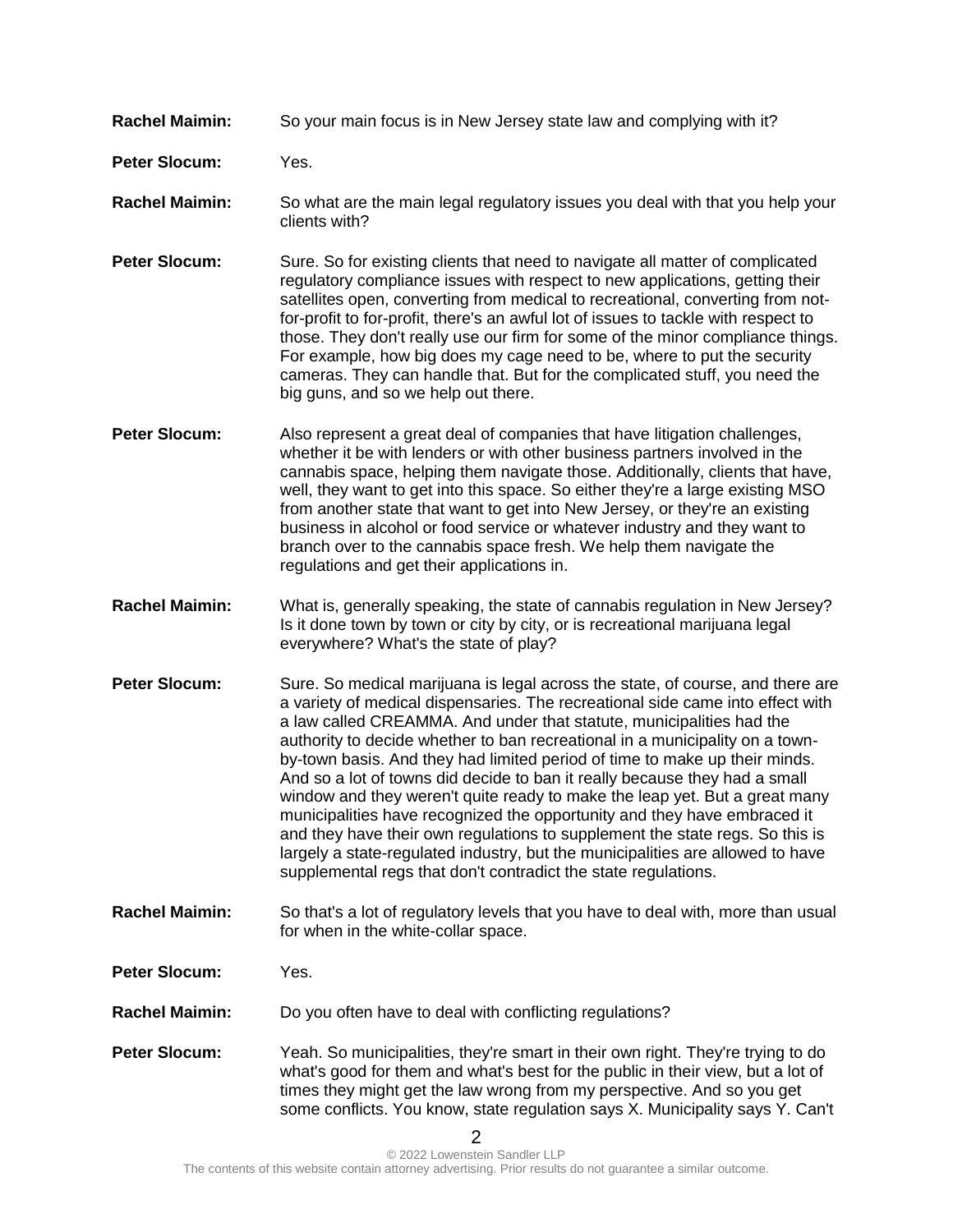- **Rachel Maimin:** So your main focus is in New Jersey state law and complying with it?
- **Peter Slocum:** Yes.
- **Rachel Maimin:** So what are the main legal regulatory issues you deal with that you help your clients with?
- **Peter Slocum:** Sure. So for existing clients that need to navigate all matter of complicated regulatory compliance issues with respect to new applications, getting their satellites open, converting from medical to recreational, converting from notfor-profit to for-profit, there's an awful lot of issues to tackle with respect to those. They don't really use our firm for some of the minor compliance things. For example, how big does my cage need to be, where to put the security cameras. They can handle that. But for the complicated stuff, you need the big guns, and so we help out there.
- **Peter Slocum:** Also represent a great deal of companies that have litigation challenges, whether it be with lenders or with other business partners involved in the cannabis space, helping them navigate those. Additionally, clients that have, well, they want to get into this space. So either they're a large existing MSO from another state that want to get into New Jersey, or they're an existing business in alcohol or food service or whatever industry and they want to branch over to the cannabis space fresh. We help them navigate the regulations and get their applications in.
- **Rachel Maimin:** What is, generally speaking, the state of cannabis regulation in New Jersey? Is it done town by town or city by city, or is recreational marijuana legal everywhere? What's the state of play?
- **Peter Slocum:** Sure. So medical marijuana is legal across the state, of course, and there are a variety of medical dispensaries. The recreational side came into effect with a law called CREAMMA. And under that statute, municipalities had the authority to decide whether to ban recreational in a municipality on a townby-town basis. And they had limited period of time to make up their minds. And so a lot of towns did decide to ban it really because they had a small window and they weren't quite ready to make the leap yet. But a great many municipalities have recognized the opportunity and they have embraced it and they have their own regulations to supplement the state regs. So this is largely a state-regulated industry, but the municipalities are allowed to have supplemental regs that don't contradict the state regulations.
- **Rachel Maimin:** So that's a lot of regulatory levels that you have to deal with, more than usual for when in the white-collar space.
- **Peter Slocum:** Yes.
- **Rachel Maimin:** Do you often have to deal with conflicting regulations?
- **Peter Slocum:** Yeah. So municipalities, they're smart in their own right. They're trying to do what's good for them and what's best for the public in their view, but a lot of times they might get the law wrong from my perspective. And so you get some conflicts. You know, state regulation says X. Municipality says Y. Can't

2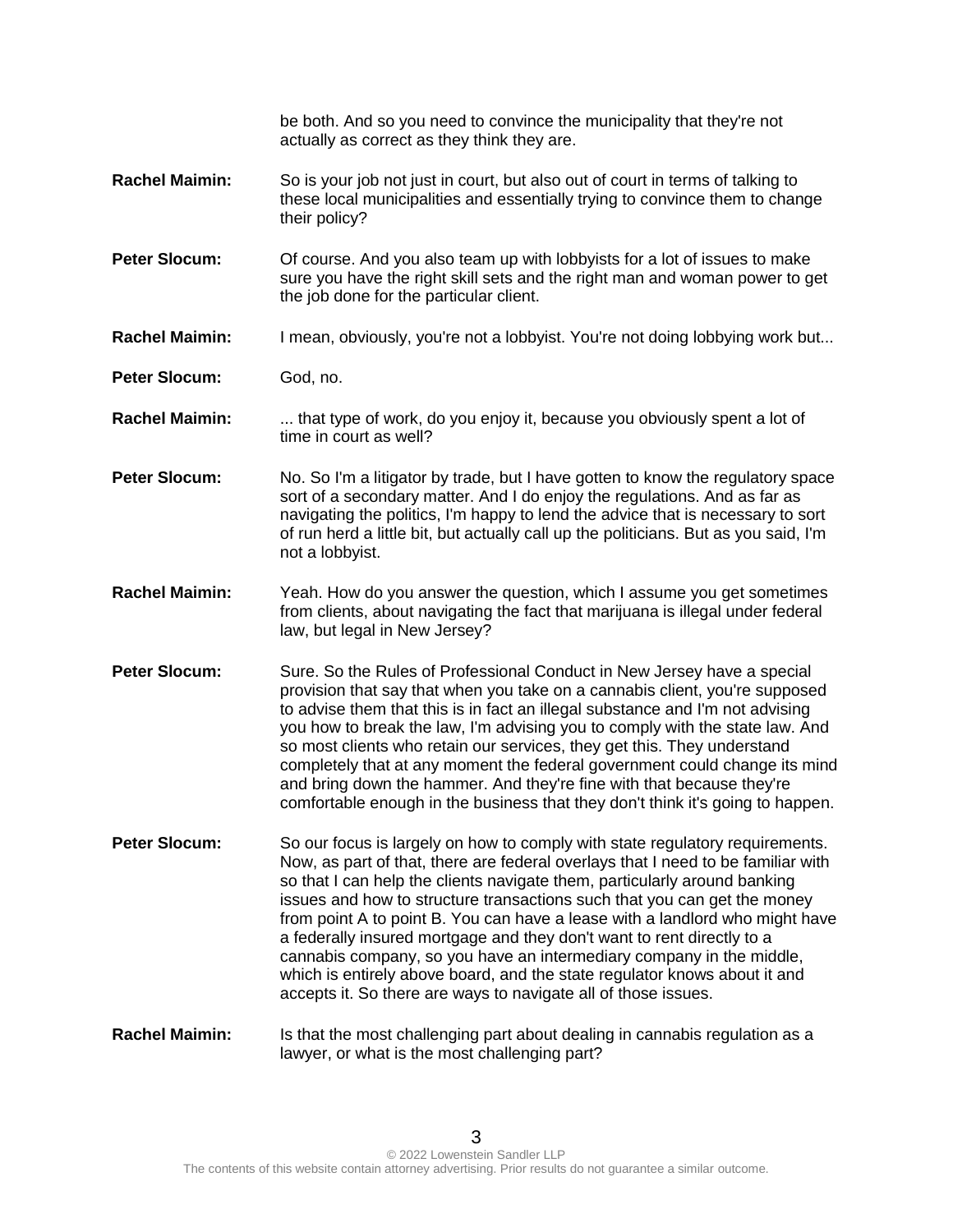|                       | be both. And so you need to convince the municipality that they're not<br>actually as correct as they think they are.                                                                                                                                                                                                                                                                                                                                                                                                                                                                                                                                                                                      |
|-----------------------|------------------------------------------------------------------------------------------------------------------------------------------------------------------------------------------------------------------------------------------------------------------------------------------------------------------------------------------------------------------------------------------------------------------------------------------------------------------------------------------------------------------------------------------------------------------------------------------------------------------------------------------------------------------------------------------------------------|
| <b>Rachel Maimin:</b> | So is your job not just in court, but also out of court in terms of talking to<br>these local municipalities and essentially trying to convince them to change<br>their policy?                                                                                                                                                                                                                                                                                                                                                                                                                                                                                                                            |
| <b>Peter Slocum:</b>  | Of course. And you also team up with lobbyists for a lot of issues to make<br>sure you have the right skill sets and the right man and woman power to get<br>the job done for the particular client.                                                                                                                                                                                                                                                                                                                                                                                                                                                                                                       |
| <b>Rachel Maimin:</b> | I mean, obviously, you're not a lobbyist. You're not doing lobbying work but                                                                                                                                                                                                                                                                                                                                                                                                                                                                                                                                                                                                                               |
| <b>Peter Slocum:</b>  | God, no.                                                                                                                                                                                                                                                                                                                                                                                                                                                                                                                                                                                                                                                                                                   |
| <b>Rachel Maimin:</b> | that type of work, do you enjoy it, because you obviously spent a lot of<br>time in court as well?                                                                                                                                                                                                                                                                                                                                                                                                                                                                                                                                                                                                         |
| <b>Peter Slocum:</b>  | No. So I'm a litigator by trade, but I have gotten to know the regulatory space<br>sort of a secondary matter. And I do enjoy the regulations. And as far as<br>navigating the politics, I'm happy to lend the advice that is necessary to sort<br>of run herd a little bit, but actually call up the politicians. But as you said, I'm<br>not a lobbyist.                                                                                                                                                                                                                                                                                                                                                 |
| <b>Rachel Maimin:</b> | Yeah. How do you answer the question, which I assume you get sometimes<br>from clients, about navigating the fact that marijuana is illegal under federal<br>law, but legal in New Jersey?                                                                                                                                                                                                                                                                                                                                                                                                                                                                                                                 |
| <b>Peter Slocum:</b>  | Sure. So the Rules of Professional Conduct in New Jersey have a special<br>provision that say that when you take on a cannabis client, you're supposed<br>to advise them that this is in fact an illegal substance and I'm not advising<br>you how to break the law, I'm advising you to comply with the state law. And<br>so most clients who retain our services, they get this. They understand<br>completely that at any moment the federal government could change its mind<br>and bring down the hammer. And they're fine with that because they're<br>comfortable enough in the business that they don't think it's going to happen.                                                                |
| <b>Peter Slocum:</b>  | So our focus is largely on how to comply with state regulatory requirements.<br>Now, as part of that, there are federal overlays that I need to be familiar with<br>so that I can help the clients navigate them, particularly around banking<br>issues and how to structure transactions such that you can get the money<br>from point A to point B. You can have a lease with a landlord who might have<br>a federally insured mortgage and they don't want to rent directly to a<br>cannabis company, so you have an intermediary company in the middle,<br>which is entirely above board, and the state regulator knows about it and<br>accepts it. So there are ways to navigate all of those issues. |
| <b>Rachel Maimin:</b> | Is that the most challenging part about dealing in cannabis regulation as a<br>lawyer, or what is the most challenging part?                                                                                                                                                                                                                                                                                                                                                                                                                                                                                                                                                                               |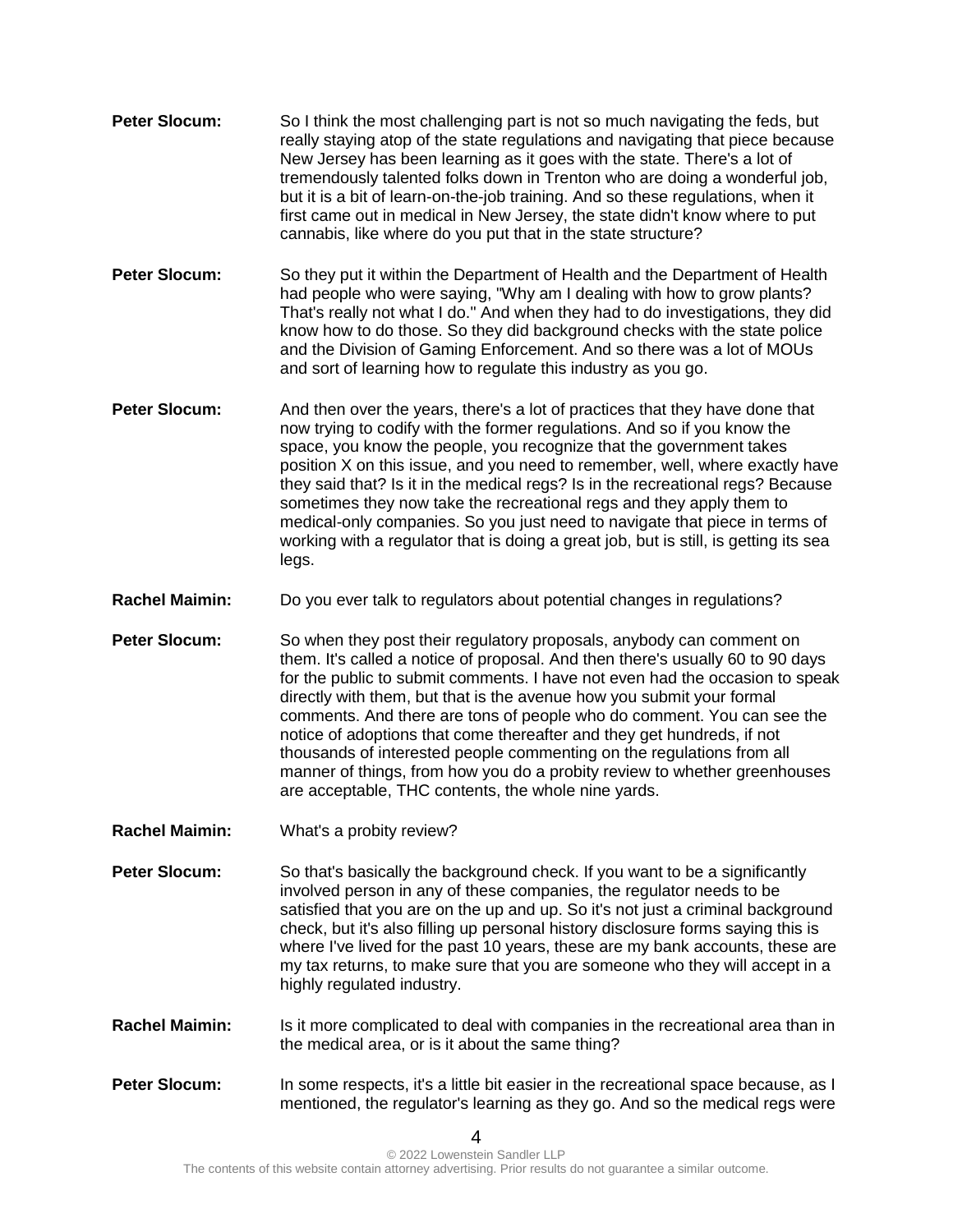- **Peter Slocum:** So I think the most challenging part is not so much navigating the feds, but really staying atop of the state regulations and navigating that piece because New Jersey has been learning as it goes with the state. There's a lot of tremendously talented folks down in Trenton who are doing a wonderful job, but it is a bit of learn-on-the-job training. And so these regulations, when it first came out in medical in New Jersey, the state didn't know where to put cannabis, like where do you put that in the state structure?
- **Peter Slocum:** So they put it within the Department of Health and the Department of Health had people who were saying, "Why am I dealing with how to grow plants? That's really not what I do." And when they had to do investigations, they did know how to do those. So they did background checks with the state police and the Division of Gaming Enforcement. And so there was a lot of MOUs and sort of learning how to regulate this industry as you go.
- **Peter Slocum:** And then over the years, there's a lot of practices that they have done that now trying to codify with the former regulations. And so if you know the space, you know the people, you recognize that the government takes position X on this issue, and you need to remember, well, where exactly have they said that? Is it in the medical regs? Is in the recreational regs? Because sometimes they now take the recreational regs and they apply them to medical-only companies. So you just need to navigate that piece in terms of working with a regulator that is doing a great job, but is still, is getting its sea legs.
- **Rachel Maimin:** Do you ever talk to regulators about potential changes in regulations?
- **Peter Slocum:** So when they post their regulatory proposals, anybody can comment on them. It's called a notice of proposal. And then there's usually 60 to 90 days for the public to submit comments. I have not even had the occasion to speak directly with them, but that is the avenue how you submit your formal comments. And there are tons of people who do comment. You can see the notice of adoptions that come thereafter and they get hundreds, if not thousands of interested people commenting on the regulations from all manner of things, from how you do a probity review to whether greenhouses are acceptable, THC contents, the whole nine yards.
- **Rachel Maimin:** What's a probity review?

**Peter Slocum:** So that's basically the background check. If you want to be a significantly involved person in any of these companies, the regulator needs to be satisfied that you are on the up and up. So it's not just a criminal background check, but it's also filling up personal history disclosure forms saying this is where I've lived for the past 10 years, these are my bank accounts, these are my tax returns, to make sure that you are someone who they will accept in a highly regulated industry.

- **Rachel Maimin:** Is it more complicated to deal with companies in the recreational area than in the medical area, or is it about the same thing?
- **Peter Slocum:** In some respects, it's a little bit easier in the recreational space because, as I mentioned, the regulator's learning as they go. And so the medical regs were

 $\boldsymbol{\Lambda}$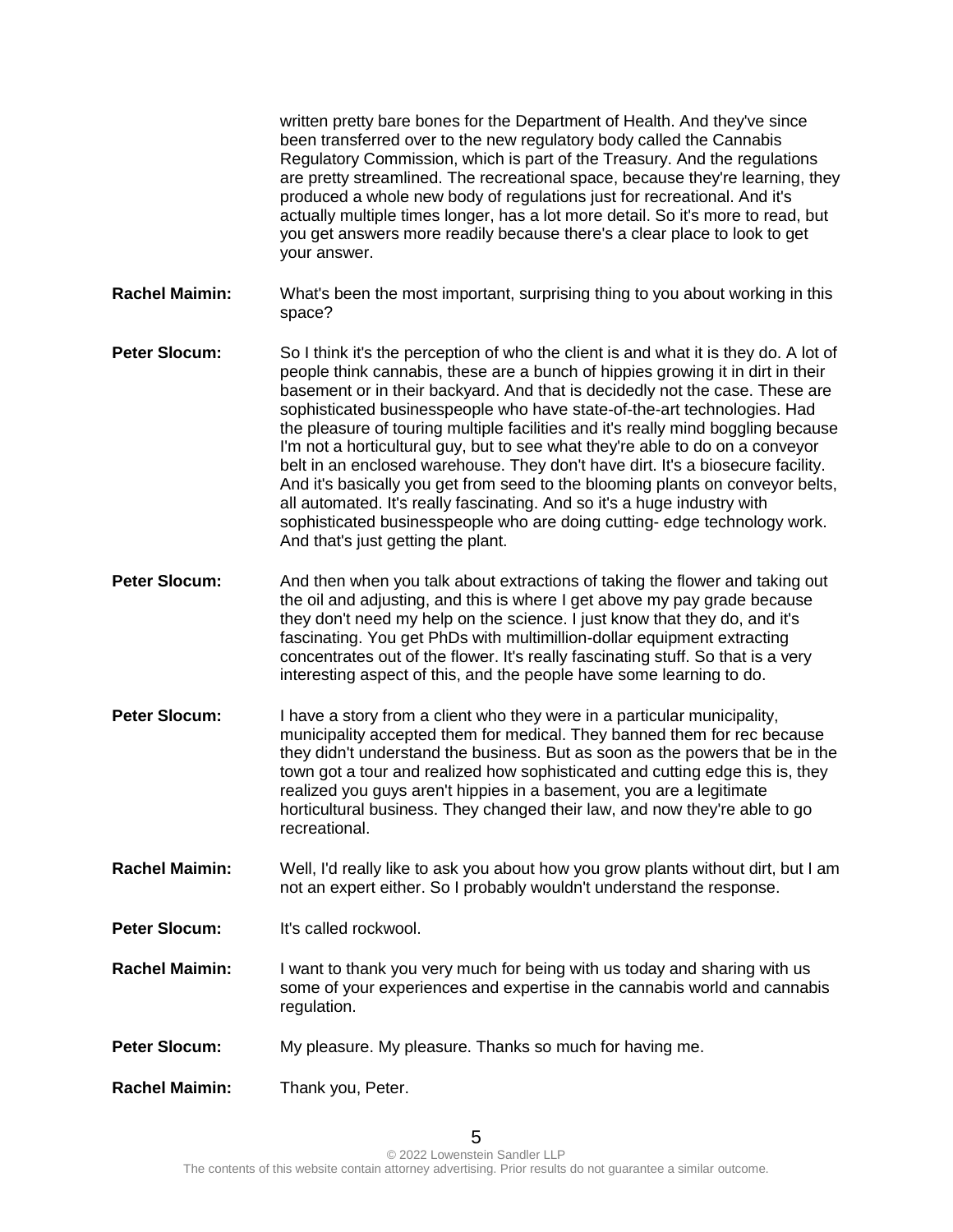written pretty bare bones for the Department of Health. And they've since been transferred over to the new regulatory body called the Cannabis Regulatory Commission, which is part of the Treasury. And the regulations are pretty streamlined. The recreational space, because they're learning, they produced a whole new body of regulations just for recreational. And it's actually multiple times longer, has a lot more detail. So it's more to read, but you get answers more readily because there's a clear place to look to get your answer.

**Rachel Maimin:** What's been the most important, surprising thing to you about working in this space?

- **Peter Slocum:** So I think it's the perception of who the client is and what it is they do. A lot of people think cannabis, these are a bunch of hippies growing it in dirt in their basement or in their backyard. And that is decidedly not the case. These are sophisticated businesspeople who have state-of-the-art technologies. Had the pleasure of touring multiple facilities and it's really mind boggling because I'm not a horticultural guy, but to see what they're able to do on a conveyor belt in an enclosed warehouse. They don't have dirt. It's a biosecure facility. And it's basically you get from seed to the blooming plants on conveyor belts, all automated. It's really fascinating. And so it's a huge industry with sophisticated businesspeople who are doing cutting- edge technology work. And that's just getting the plant.
- **Peter Slocum:** And then when you talk about extractions of taking the flower and taking out the oil and adjusting, and this is where I get above my pay grade because they don't need my help on the science. I just know that they do, and it's fascinating. You get PhDs with multimillion-dollar equipment extracting concentrates out of the flower. It's really fascinating stuff. So that is a very interesting aspect of this, and the people have some learning to do.
- **Peter Slocum:** I have a story from a client who they were in a particular municipality, municipality accepted them for medical. They banned them for rec because they didn't understand the business. But as soon as the powers that be in the town got a tour and realized how sophisticated and cutting edge this is, they realized you guys aren't hippies in a basement, you are a legitimate horticultural business. They changed their law, and now they're able to go recreational.
- **Rachel Maimin:** Well, I'd really like to ask you about how you grow plants without dirt, but I am not an expert either. So I probably wouldn't understand the response.
- **Peter Slocum:** It's called rockwool.
- **Rachel Maimin:** I want to thank you very much for being with us today and sharing with us some of your experiences and expertise in the cannabis world and cannabis regulation.
- **Peter Slocum:** My pleasure. My pleasure. Thanks so much for having me.
- **Rachel Maimin:** Thank you, Peter.